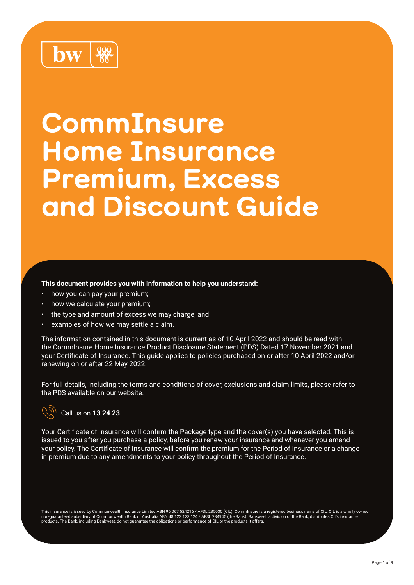### 999 **hw**

# **CommInsure Home Insurance Premium, Excess and Discount Guide**

#### **This document provides you with information to help you understand:**

- how you can pay your premium;
- how we calculate your premium:
- the type and amount of excess we may charge; and
- examples of how we may settle a claim.

The information contained in this document is current as of 10 April 2022 and should be read with the CommInsure Home Insurance Product Disclosure Statement (PDS) Dated 17 November 2021 and your Certificate of Insurance. This guide applies to policies purchased on or after 10 April 2022 and/or renewing on or after 22 May 2022.

For full details, including the terms and conditions of cover, exclusions and claim limits, please refer to the PDS available on our website.



#### Call us on **13 24 23**

Your Certificate of Insurance will confirm the Package type and the cover(s) you have selected. This is issued to you after you purchase a policy, before you renew your insurance and whenever you amend your policy. The Certificate of Insurance will confirm the premium for the Period of Insurance or a change in premium due to any amendments to your policy throughout the Period of Insurance.

This insurance is issued by Commonwealth Insurance Limited ABN 96 067 524216 / AFSL 235030 (CIL). CommInsure is a registered business name of CIL. CIL is a wholly owned<br>non-guaranteed subsidiary of Commonwealth Bank of Aus products. The Bank, including Bankwest, do not guarantee the obligations or performance of CIL or the products it offers.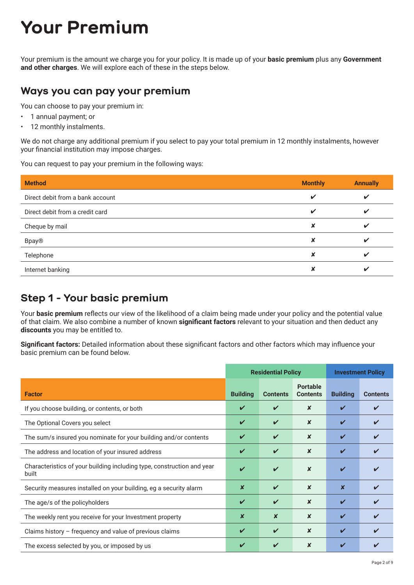## **Your Premium**

Your premium is the amount we charge you for your policy. It is made up of your **basic premium** plus any **Government and other charges**. We will explore each of these in the steps below.

#### **Ways you can pay your premium**

You can choose to pay your premium in:

- 1 annual payment; or
- 12 monthly instalments.

We do not charge any additional premium if you select to pay your total premium in 12 monthly instalments, however your financial institution may impose charges.

You can request to pay your premium in the following ways:

| <b>Method</b>                    | <b>Monthly</b> | <b>Annually</b> |
|----------------------------------|----------------|-----------------|
| Direct debit from a bank account | $\checkmark$   | V               |
| Direct debit from a credit card  | ✔              | v               |
| Cheque by mail                   | ×              | ✔               |
| <b>Bpay®</b>                     | X              | v               |
| Telephone                        | x              | V               |
| Internet banking                 | x              |                 |

#### **Step 1 - Your basic premium**

Your **basic premium** reflects our view of the likelihood of a claim being made under your policy and the potential value of that claim. We also combine a number of known **significant factors** relevant to your situation and then deduct any **discounts** you may be entitled to.

**Significant factors:** Detailed information about these significant factors and other factors which may influence your basic premium can be found below.

|                                                                                 | <b>Residential Policy</b> |                            |                                    | <b>Investment Policy</b>   |                 |  |
|---------------------------------------------------------------------------------|---------------------------|----------------------------|------------------------------------|----------------------------|-----------------|--|
| <b>Factor</b>                                                                   | <b>Building</b>           | <b>Contents</b>            | <b>Portable</b><br><b>Contents</b> | <b>Building</b>            | <b>Contents</b> |  |
| If you choose building, or contents, or both                                    | V                         | ✓                          | $\boldsymbol{x}$                   | ✓                          |                 |  |
| The Optional Covers you select                                                  | V                         | ✓                          | $\boldsymbol{x}$                   | ✓                          |                 |  |
| The sum/s insured you nominate for your building and/or contents                | ✔                         | V                          | $\boldsymbol{x}$                   | $\boldsymbol{\mathcal{U}}$ |                 |  |
| The address and location of your insured address                                | V                         | $\boldsymbol{\mathcal{U}}$ | x                                  | $\boldsymbol{\mathcal{U}}$ |                 |  |
| Characteristics of your building including type, construction and year<br>built | $\boldsymbol{\nu}$        | $\boldsymbol{\mathcal{U}}$ | $\boldsymbol{x}$                   | V                          |                 |  |
| Security measures installed on your building, eg a security alarm               | $\boldsymbol{x}$          | $\boldsymbol{\nu}$         | $\boldsymbol{x}$                   | $\boldsymbol{x}$           |                 |  |
| The age/s of the policyholders                                                  | ✓                         | $\boldsymbol{\mathcal{U}}$ | $\boldsymbol{x}$                   | $\boldsymbol{\mathcal{U}}$ |                 |  |
| The weekly rent you receive for your Investment property                        | X                         | $\boldsymbol{x}$           | X                                  | $\boldsymbol{\mathcal{U}}$ |                 |  |
| Claims history $-$ frequency and value of previous claims                       | ✓                         | $\boldsymbol{\mathcal{U}}$ | $\boldsymbol{x}$                   | $\boldsymbol{\mathcal{U}}$ |                 |  |
| The excess selected by you, or imposed by us                                    | V                         |                            | X                                  | V                          |                 |  |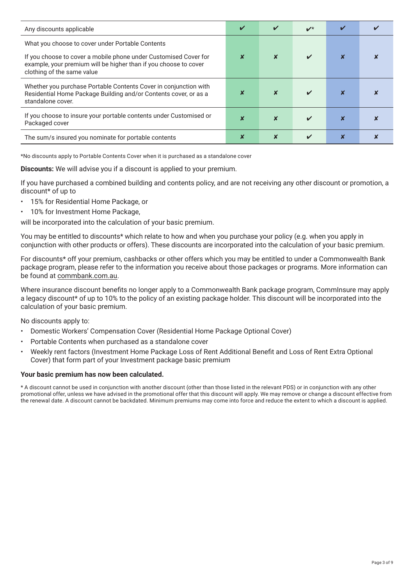| Any discounts applicable                                                                                                                                           |  | ✔ |  |
|--------------------------------------------------------------------------------------------------------------------------------------------------------------------|--|---|--|
| What you choose to cover under Portable Contents                                                                                                                   |  |   |  |
| If you choose to cover a mobile phone under Customised Cover for<br>example, your premium will be higher than if you choose to cover<br>clothing of the same value |  |   |  |
| Whether you purchase Portable Contents Cover in conjunction with<br>Residential Home Package Building and/or Contents cover, or as a<br>standalone cover.          |  |   |  |
| If you choose to insure your portable contents under Customised or<br>Packaged cover                                                                               |  |   |  |
| The sum/s insured you nominate for portable contents                                                                                                               |  |   |  |

\*No discounts apply to Portable Contents Cover when it is purchased as a standalone cover

**Discounts:** We will advise you if a discount is applied to your premium.

If you have purchased a combined building and contents policy, and are not receiving any other discount or promotion, a discount\* of up to

- 15% for Residential Home Package, or
- 10% for Investment Home Package,

will be incorporated into the calculation of your basic premium.

You may be entitled to discounts\* which relate to how and when you purchase your policy (e.g. when you apply in conjunction with other products or offers). These discounts are incorporated into the calculation of your basic premium.

For discounts\* off your premium, cashbacks or other offers which you may be entitled to under a Commonwealth Bank package program, please refer to the information you receive about those packages or programs. More information can be found at [commbank.com.au](http://commbank.com.au).

Where insurance discount benefits no longer apply to a Commonwealth Bank package program, CommInsure may apply a legacy discount\* of up to 10% to the policy of an existing package holder. This discount will be incorporated into the calculation of your basic premium.

No discounts apply to:

- Domestic Workers' Compensation Cover (Residential Home Package Optional Cover)
- Portable Contents when purchased as a standalone cover
- Weekly rent factors (Investment Home Package Loss of Rent Additional Benefit and Loss of Rent Extra Optional Cover) that form part of your Investment package basic premium

#### **Your basic premium has now been calculated.**

\* A discount cannot be used in conjunction with another discount (other than those listed in the relevant PDS) or in conjunction with any other promotional offer, unless we have advised in the promotional offer that this discount will apply. We may remove or change a discount effective from the renewal date. A discount cannot be backdated. Minimum premiums may come into force and reduce the extent to which a discount is applied.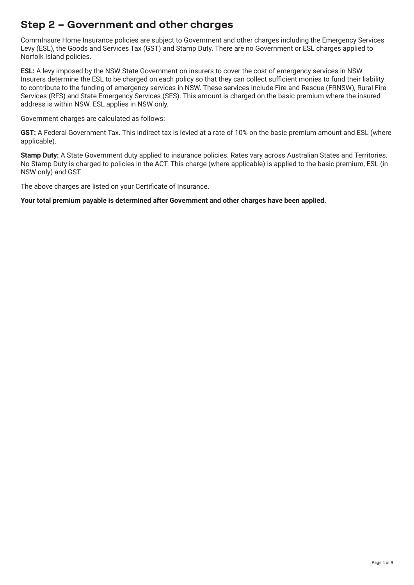#### **Step 2 – Government and other charges**

CommInsure Home Insurance policies are subject to Government and other charges including the Emergency Services Levy (ESL), the Goods and Services Tax (GST) and Stamp Duty. There are no Government or ESL charges applied to Norfolk Island policies.

**ESL:** A levy imposed by the NSW State Government on insurers to cover the cost of emergency services in NSW. Insurers determine the ESL to be charged on each policy so that they can collect sufficient monies to fund their liability to contribute to the funding of emergency services in NSW. These services include Fire and Rescue (FRNSW), Rural Fire Services (RFS) and State Emergency Services (SES). This amount is charged on the basic premium where the insured address is within NSW. ESL applies in NSW only.

Government charges are calculated as follows:

**GST:** A Federal Government Tax. This indirect tax is levied at a rate of 10% on the basic premium amount and ESL (where applicable).

**Stamp Duty:** A State Government duty applied to insurance policies. Rates vary across Australian States and Territories. No Stamp Duty is charged to policies in the ACT. This charge (where applicable) is applied to the basic premium, ESL (in NSW only) and GST.

The above charges are listed on your Certificate of Insurance.

**Your total premium payable is determined after Government and other charges have been applied.**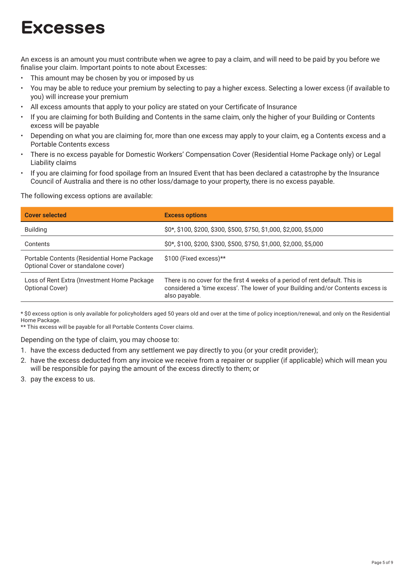## **Excesses**

An excess is an amount you must contribute when we agree to pay a claim, and will need to be paid by you before we finalise your claim. Important points to note about Excesses:

- This amount may be chosen by you or imposed by us
- You may be able to reduce your premium by selecting to pay a higher excess. Selecting a lower excess (if available to you) will increase your premium
- All excess amounts that apply to your policy are stated on your Certificate of Insurance
- If you are claiming for both Building and Contents in the same claim, only the higher of your Building or Contents excess will be payable
- Depending on what you are claiming for, more than one excess may apply to your claim, eg a Contents excess and a Portable Contents excess
- There is no excess payable for Domestic Workers' Compensation Cover (Residential Home Package only) or Legal Liability claims
- If you are claiming for food spoilage from an Insured Event that has been declared a catastrophe by the Insurance Council of Australia and there is no other loss/damage to your property, there is no excess payable.

The following excess options are available:

| <b>Cover selected</b>                                                              | <b>Excess options</b>                                                                                                                                                             |
|------------------------------------------------------------------------------------|-----------------------------------------------------------------------------------------------------------------------------------------------------------------------------------|
| <b>Building</b>                                                                    | \$0*, \$100, \$200, \$300, \$500, \$750, \$1,000, \$2,000, \$5,000                                                                                                                |
| Contents                                                                           | \$0*, \$100, \$200, \$300, \$500, \$750, \$1,000, \$2,000, \$5,000                                                                                                                |
| Portable Contents (Residential Home Package<br>Optional Cover or standalone cover) | $$100$ (Fixed excess)**                                                                                                                                                           |
| Loss of Rent Extra (Investment Home Package<br>Optional Cover)                     | There is no cover for the first 4 weeks of a period of rent default. This is<br>considered a 'time excess'. The lower of your Building and/or Contents excess is<br>also payable. |

\* \$0 excess option is only available for policyholders aged 50 years old and over at the time of policy inception/renewal, and only on the Residential Home Package.

\*\* This excess will be payable for all Portable Contents Cover claims.

Depending on the type of claim, you may choose to:

- 1. have the excess deducted from any settlement we pay directly to you (or your credit provider);
- 2. have the excess deducted from any invoice we receive from a repairer or supplier (if applicable) which will mean you will be responsible for paying the amount of the excess directly to them; or
- 3. pay the excess to us.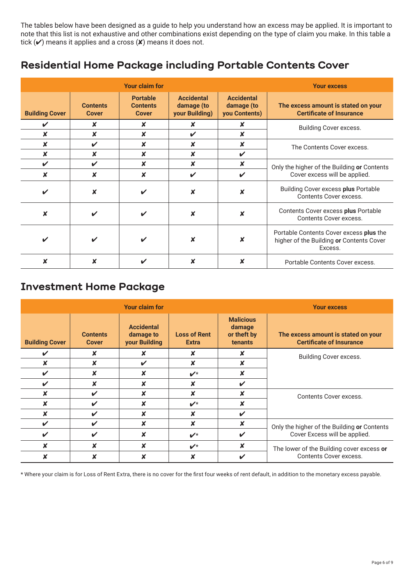The tables below have been designed as a guide to help you understand how an excess may be applied. It is important to note that this list is not exhaustive and other combinations exist depending on the type of claim you make. In this table a tick  $(V)$  means it applies and a cross  $(V)$  means it does not.

#### **Residential Home Package including Portable Contents Cover**

|                       |                                 | <b>Your claim for</b>                              |                                                   |                                                  | <b>Your excess</b>                                                                             |
|-----------------------|---------------------------------|----------------------------------------------------|---------------------------------------------------|--------------------------------------------------|------------------------------------------------------------------------------------------------|
| <b>Building Cover</b> | <b>Contents</b><br><b>Cover</b> | <b>Portable</b><br><b>Contents</b><br><b>Cover</b> | <b>Accidental</b><br>damage (to<br>your Building) | <b>Accidental</b><br>damage (to<br>you Contents) | The excess amount is stated on your<br><b>Certificate of Insurance</b>                         |
| ✔                     | X                               | x                                                  | X                                                 | X                                                | Building Cover excess.                                                                         |
| x                     | X                               | X                                                  | V                                                 | ×                                                |                                                                                                |
| $\boldsymbol{x}$      | ✔                               | $\boldsymbol{x}$                                   | X                                                 | $\boldsymbol{x}$                                 | The Contents Cover excess.                                                                     |
| $\boldsymbol{x}$      | X                               | $\boldsymbol{x}$                                   | $\boldsymbol{x}$                                  | $\boldsymbol{\mathcal{U}}$                       |                                                                                                |
| ✓                     | $\boldsymbol{\nu}$              | $\boldsymbol{x}$                                   | $\boldsymbol{x}$                                  | X                                                | Only the higher of the Building or Contents                                                    |
| $\boldsymbol{x}$      | $\boldsymbol{x}$                | $\boldsymbol{\mathsf{x}}$                          | $\boldsymbol{\nu}$                                | $\boldsymbol{\mathcal{U}}$                       | Cover excess will be applied.                                                                  |
| ✔                     | $\boldsymbol{x}$                | ✔                                                  | ×                                                 | ×                                                | <b>Building Cover excess plus Portable</b><br><b>Contents Cover excess.</b>                    |
| x                     | ✔                               | ✔                                                  | X                                                 | X                                                | Contents Cover excess plus Portable<br><b>Contents Cover excess.</b>                           |
| ✔                     | ✔                               | ✔                                                  | ×                                                 | X                                                | Portable Contents Cover excess plus the<br>higher of the Building or Contents Cover<br>Excess. |
|                       |                                 |                                                    | x                                                 | x                                                | Portable Contents Cover excess.                                                                |

#### **Investment Home Package**

| <b>Your claim for</b>      |                                 |                                                 | <b>Your excess</b>                  |                                                             |                                                                        |
|----------------------------|---------------------------------|-------------------------------------------------|-------------------------------------|-------------------------------------------------------------|------------------------------------------------------------------------|
| <b>Building Cover</b>      | <b>Contents</b><br><b>Cover</b> | <b>Accidental</b><br>damage to<br>your Building | <b>Loss of Rent</b><br><b>Extra</b> | <b>Malicious</b><br>damage<br>or theft by<br><b>tenants</b> | The excess amount is stated on your<br><b>Certificate of Insurance</b> |
| ✓                          | x                               | x                                               | X                                   | x                                                           | Building Cover excess.                                                 |
| x                          | X                               | ✔                                               | ×                                   | X                                                           |                                                                        |
| ✔                          | $\boldsymbol{x}$                | x                                               | $\boldsymbol{\nu}^{\star}$          | x                                                           |                                                                        |
| ✔                          | X                               | x                                               | X                                   | ✔                                                           |                                                                        |
| X                          | ✔                               | X                                               | ×                                   | X                                                           | <b>Contents Cover excess.</b>                                          |
| x                          | ✓                               | X                                               | $\boldsymbol{\nu}^{\star}$          | X                                                           |                                                                        |
|                            | ✔                               | x                                               | X                                   | $\boldsymbol{\nu}$                                          |                                                                        |
| $\boldsymbol{\mathcal{U}}$ | ✔                               | ×                                               | ×                                   | $\boldsymbol{\mathsf{x}}$                                   | Only the higher of the Building or Contents                            |
| ✔                          | ✔                               | x                                               | $\boldsymbol{\nu}^{\star}$          | V                                                           | Cover Excess will be applied.                                          |
|                            | x                               | X                                               | $\boldsymbol{\nu}^{\star}$          | X                                                           | The lower of the Building cover excess or                              |
|                            |                                 |                                                 | x                                   | V                                                           | <b>Contents Cover excess.</b>                                          |

\* Where your claim is for Loss of Rent Extra, there is no cover for the first four weeks of rent default, in addition to the monetary excess payable.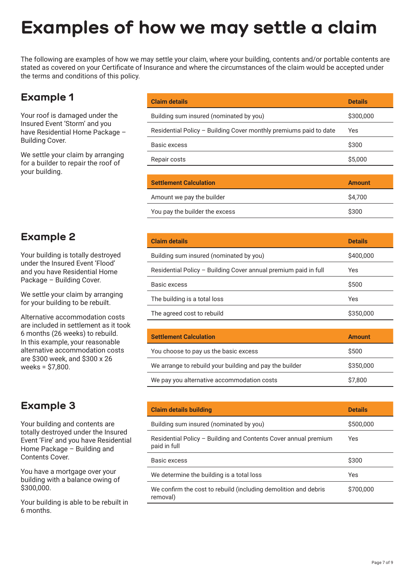## **Examples of how we may settle a claim**

The following are examples of how we may settle your claim, where your building, contents and/or portable contents are stated as covered on your Certificate of Insurance and where the circumstances of the claim would be accepted under the terms and conditions of this policy.

#### **Example 1**

Your roof is damaged under the Insured Event 'Storm' and you have Residential Home Package – Building Cover.

We settle your claim by arranging for a builder to repair the roof of your building.

| <b>Claim details</b>                                              | <b>Details</b> |
|-------------------------------------------------------------------|----------------|
| Building sum insured (nominated by you)                           | \$300,000      |
| Residential Policy - Building Cover monthly premiums paid to date | Yes            |
| Basic excess                                                      | \$300          |
| Repair costs                                                      | \$5,000        |
|                                                                   |                |
| <b>Settlement Calculation</b>                                     | <b>Amount</b>  |

| <b>Settlement Calculation</b>  | <b>AUVULL</b> |
|--------------------------------|---------------|
| Amount we pay the builder      | \$4.700       |
| You pay the builder the excess | \$300         |

| <b>Example 2</b> |  |
|------------------|--|
|------------------|--|

Your building is totally destroyed under the Insured Event 'Flood' and you have Residential Home Package – Building Cover.

We settle your claim by arranging for your building to be rebuilt.

Alternative accommodation costs are included in settlement as it took 6 months (26 weeks) to rebuild. In this example, your reasonable alternative accommodation costs are \$300 week, and \$300 x 26 weeks = \$7,800.

#### **Example 3**

Your building and contents are totally destroyed under the Insured Event 'Fire' and you have Residential Home Package – Building and Contents Cover.

You have a mortgage over your building with a balance owing of \$300,000.

Your building is able to be rebuilt in 6 months.

| <b>Claim details</b>                                            | <b>Details</b> |
|-----------------------------------------------------------------|----------------|
| Building sum insured (nominated by you)                         | \$400,000      |
| Residential Policy - Building Cover annual premium paid in full | Yes            |
| Basic excess                                                    | \$500          |
| The building is a total loss                                    | Yes            |
| The agreed cost to rebuild                                      | \$350,000      |

| <b>Settlement Calculation</b>                           | <b>Amount</b> |
|---------------------------------------------------------|---------------|
| You choose to pay us the basic excess                   | \$500         |
| We arrange to rebuild your building and pay the builder | \$350,000     |
| We pay you alternative accommodation costs              | \$7,800       |

| <b>Claim details building</b>                                                   | <b>Details</b> |
|---------------------------------------------------------------------------------|----------------|
| Building sum insured (nominated by you)                                         | \$500,000      |
| Residential Policy – Building and Contents Cover annual premium<br>paid in full | Yes            |
| Basic excess                                                                    | \$300          |
| We determine the building is a total loss                                       | Yes            |
| We confirm the cost to rebuild (including demolition and debris<br>removal)     | \$700,000      |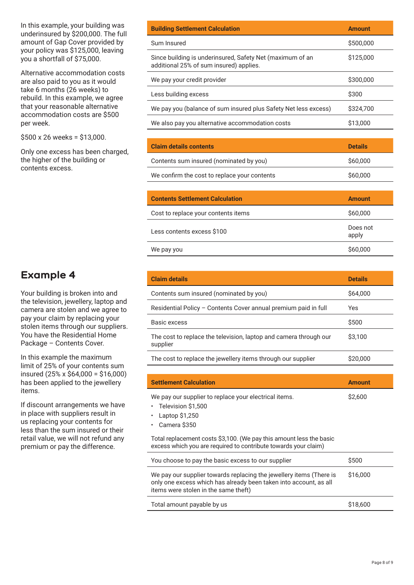In this example, your building was underinsured by \$200,000. The full amount of Gap Cover provided by your policy was \$125,000, leaving you a shortfall of \$75,000.

Alternative accommodation costs are also paid to you as it would take 6 months (26 weeks) to rebuild. In this example, we agree that your reasonable alternative accommodation costs are \$500 per week.

\$500 x 26 weeks = \$13,000.

Only one excess has been charged, the higher of the building or contents excess.

#### **Example 4**

Your building is broken into and the television, jewellery, laptop and camera are stolen and we agree to pay your claim by replacing your stolen items through our suppliers. You have the Residential Home Package – Contents Cover.

In this example the maximum limit of 25% of your contents sum insured (25% x \$64,000 = \$16,000) has been applied to the jewellery items.

If discount arrangements we have in place with suppliers result in us replacing your contents for less than the sum insured or their retail value, we will not refund any premium or pay the difference.

| <b>Building Settlement Calculation</b>                                                               | <b>Amount</b>  |
|------------------------------------------------------------------------------------------------------|----------------|
| Sum Insured                                                                                          | \$500,000      |
| Since building is underinsured, Safety Net (maximum of an<br>additional 25% of sum insured) applies. | \$125,000      |
| We pay your credit provider                                                                          | \$300,000      |
| Less building excess                                                                                 | \$300          |
| We pay you (balance of sum insured plus Safety Net less excess)                                      | \$324,700      |
| We also pay you alternative accommodation costs                                                      | \$13,000       |
|                                                                                                      |                |
| <b>Claim details contents</b>                                                                        | <b>Details</b> |

| Contents sum insured (nominated by you)      | \$60,000 |
|----------------------------------------------|----------|
| We confirm the cost to replace your contents | \$60,000 |

| <b>Contents Settlement Calculation</b> | <b>Amount</b>     |
|----------------------------------------|-------------------|
| Cost to replace your contents items    | \$60,000          |
| Less contents excess \$100             | Does not<br>apply |
| We pay you                             | \$60,000          |

| <b>Claim details</b>                                                          | <b>Details</b> |
|-------------------------------------------------------------------------------|----------------|
| Contents sum insured (nominated by you)                                       | \$64,000       |
| Residential Policy - Contents Cover annual premium paid in full               | Yes            |
| Basic excess                                                                  | \$500          |
| The cost to replace the television, laptop and camera through our<br>supplier | \$3,100        |
| The cost to replace the jewellery items through our supplier                  | \$20,000       |

| <b>Settlement Calculation</b>                                                                                                                                                    | <b>Amount</b> |
|----------------------------------------------------------------------------------------------------------------------------------------------------------------------------------|---------------|
| We pay our supplier to replace your electrical items.<br>Television \$1,500<br>Laptop $$1,250$<br>Camera \$350                                                                   | \$2,600       |
| Total replacement costs \$3,100. (We pay this amount less the basic<br>excess which you are required to contribute towards your claim)                                           |               |
| You choose to pay the basic excess to our supplier                                                                                                                               | \$500         |
| We pay our supplier towards replacing the jewellery items (There is<br>only one excess which has already been taken into account, as all<br>items were stolen in the same theft) | \$16,000      |
|                                                                                                                                                                                  |               |

| Total amount payable by us | \$18,600 |
|----------------------------|----------|
|----------------------------|----------|